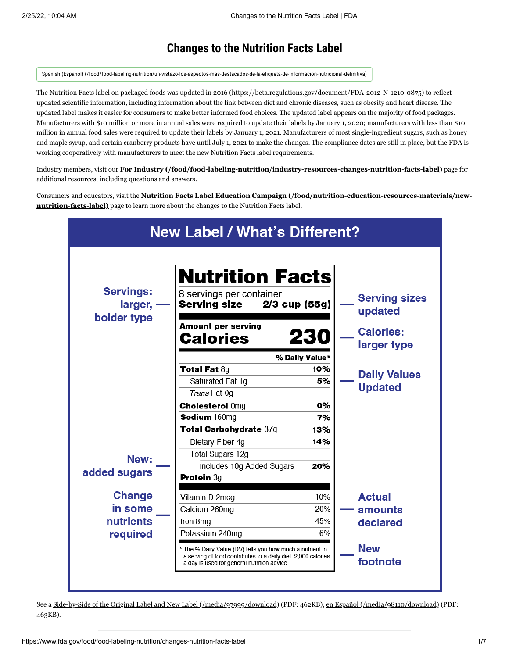# **Changes to the Nutrition Facts Label**

[Spanish \(Español\) \(/food/food-labeling-nutrition/un-vistazo-los-aspectos-mas-destacados-de-la-etiqueta-de-informacion-nutricional-definitiva\)](https://www.fda.gov/food/food-labeling-nutrition/un-vistazo-los-aspectos-mas-destacados-de-la-etiqueta-de-informacion-nutricional-definitiva)

The Nutrition Facts label on packaged foods was [updated in 2016 \(https://beta.regulations.gov/document/FDA-2012-N-1210-0875\)](https://beta.regulations.gov/document/FDA-2012-N-1210-0875) to reflect updated scientific information, including information about the link between diet and chronic diseases, such as obesity and heart disease. The updated label makes it easier for consumers to make better informed food choices. The updated label appears on the majority of food packages. Manufacturers with \$10 million or more in annual sales were required to update their labels by January 1, 2020; manufacturers with less than \$10 million in annual food sales were required to update their labels by January 1, 2021. Manufacturers of most single-ingredient sugars, such as honey and maple syrup, and certain cranberry products have until July 1, 2021 to make the changes. The compliance dates are still in place, but the FDA is working cooperatively with manufacturers to meet the new Nutrition Facts label requirements.

Industry members, visit our **[For Industry \(/food/food-labeling-nutrition/industry-resources-changes-nutrition-facts-label\)](https://www.fda.gov/food/food-labeling-nutrition/industry-resources-changes-nutrition-facts-label)** page for additional resources, including questions and answers.

Consumers and educators, visit the **[Nutrition Facts Label Education Campaign \(/food/nutrition-education-resources-materials/new](https://www.fda.gov/food/nutrition-education-resources-materials/new-nutrition-facts-label)nutrition-facts-label)** page to learn more about the changes to the Nutrition Facts label.



See a [Side-by-Side of the Original Label and New Label \(/media/97999/download\)](https://www.fda.gov/media/97999/download) (PDF: 462KB), [en Español \(/media/98110/download\)](https://www.fda.gov/media/98110/download) (PDF: 463KB).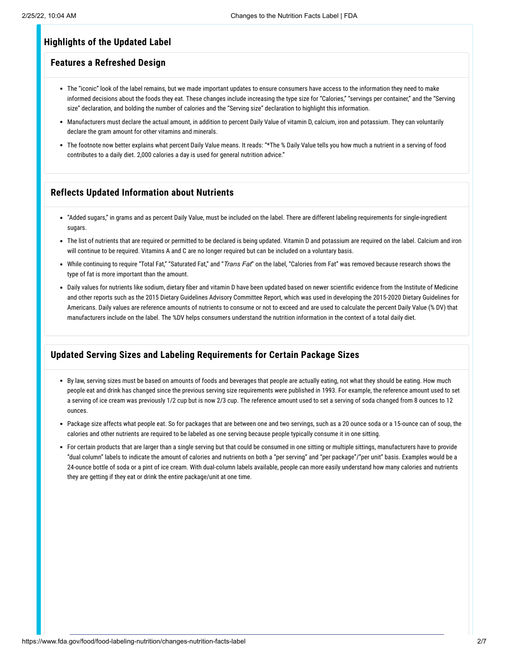## **Highlights of the Updated Label**

## **Features a [Refreshed](#page-1-0) Design**

- <span id="page-1-0"></span>The "iconic" look of the label remains, but we made important updates to ensure consumers have access to the information they need to make informed decisions about the foods they eat. These changes include increasing the type size for "Calories," "servings per container," and the "Serving size" declaration, and bolding the number of calories and the "Serving size" declaration to highlight this information.
- Manufacturers must declare the actual amount, in addition to percent Daily Value of vitamin D, calcium, iron and potassium. They can voluntarily declare the gram amount for other vitamins and minerals.
- The footnote now better explains what percent Daily Value means. It reads: "\*The % Daily Value tells you how much a nutrient in a serving of food contributes to a daily diet. 2,000 calories a day is used for general nutrition advice."

## **Reflects Updated [Information](#page-1-1) about Nutrients**

- <span id="page-1-1"></span>"Added sugars," in grams and as percent Daily Value, must be included on the label. There are different labeling requirements for single-ingredient sugars.
- The list of nutrients that are required or permitted to be declared is being updated. Vitamin D and potassium are required on the label. Calcium and iron will continue to be required. Vitamins A and C are no longer required but can be included on a voluntary basis.
- While continuing to require "Total Fat," "Saturated Fat," and "*Trans Fat*" on the label, "Calories from Fat" was removed because research shows the type of fat is more important than the amount.
- Daily values for nutrients like sodium, dietary fiber and vitamin D have been updated based on newer scientific evidence from the Institute of Medicine and other reports such as the 2015 Dietary Guidelines Advisory Committee Report, which was used in developing the 2015-2020 Dietary Guidelines for Americans. Daily values are reference amounts of nutrients to consume or not to exceed and are used to calculate the percent Daily Value (% DV) that manufacturers include on the label. The %DV helps consumers understand the nutrition information in the context of a total daily diet.

## **Updated Serving Sizes and Labeling [Requirements](#page-1-2) for Certain Package Sizes**

- <span id="page-1-2"></span>• By law, serving sizes must be based on amounts of foods and beverages that people are actually eating, not what they should be eating. How much people eat and drink has changed since the previous serving size requirements were published in 1993. For example, the reference amount used to set a serving of ice cream was previously 1/2 cup but is now 2/3 cup. The reference amount used to set a serving of soda changed from 8 ounces to 12 ounces.
- Package size affects what people eat. So for packages that are between one and two servings, such as a 20 ounce soda or a 15-ounce can of soup, the calories and other nutrients are required to be labeled as one serving because people typically consume it in one sitting.
- For certain products that are larger than a single serving but that could be consumed in one sitting or multiple sittings, manufacturers have to provide "dual column" labels to indicate the amount of calories and nutrients on both a "per serving" and "per package"/"per unit" basis. Examples would be a 24-ounce bottle of soda or a pint of ice cream. With dual-column labels available, people can more easily understand how many calories and nutrients they are getting if they eat or drink the entire package/unit at one time.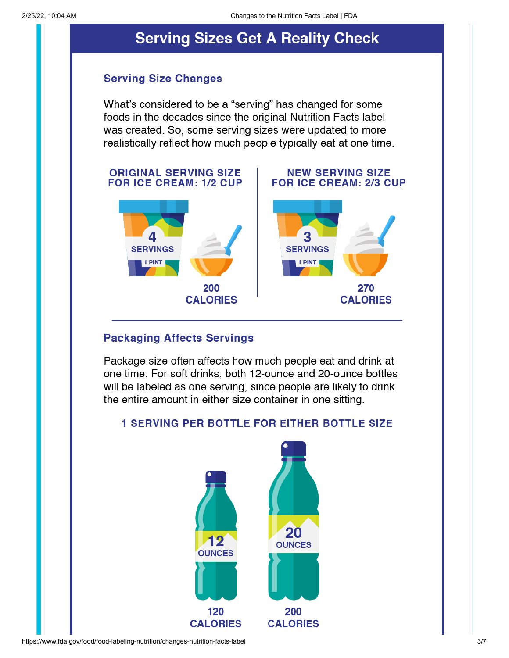



https://www.fda.gov/food/food-labeling-nutrition/changes-nutrition-facts-label 3/7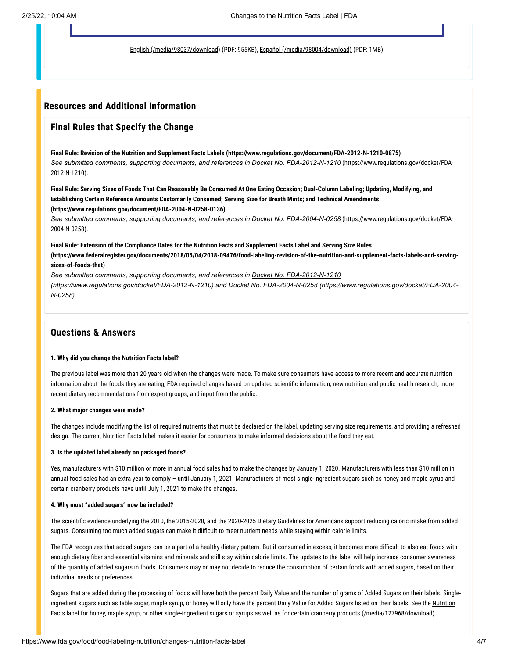[English \(/media/98037/download\)](https://www.fda.gov/media/98037/download) (PDF: 955KB), [Español \(/media/98004/download\)](https://www.fda.gov/media/98004/download) (PDF: 1MB)

## **Resources and Additional Information**

## **Final Rules that [Specify](#page-3-0) the Change**

<span id="page-3-0"></span>**[Final Rule: Revision of the Nutrition and Supplement Facts Labels \(https://www.regulations.gov/document/FDA-2012-N-1210-0875\)](https://www.regulations.gov/document/FDA-2012-N-1210-0875)** *[See submitted comments, supporting documents, and references in Docket No. FDA-2012-N-1210](https://www.regulations.gov/docket/FDA-2012-N-1210)* (https://www.regulations.gov/docket/FDA-2012-N-1210).

**[Final Rule: Serving Sizes of Foods That Can Reasonably Be Consumed At One Eating Occasion; Dual-Column Labeling; Updating, Modifying, and](https://www.regulations.gov/document/FDA-2004-N-0258-0136) Establishing Certain Reference Amounts Customarily Consumed; Serving Size for Breath Mints; and Technical Amendments (https://www.regulations.gov/document/FDA-2004-N-0258-0136)**

*[See submitted comments, supporting documents, and references in Docket No. FDA-2004-N-0258](https://www.regulations.gov/docket/FDA-2004-N-0258)* (https://www.regulations.gov/docket/FDA-2004-N-0258).

**Final Rule: Extension of the Compliance Dates for the Nutrition Facts and Supplement Facts Label and Serving Size Rules [\(https://www.federalregister.gov/documents/2018/05/04/2018-09476/food-labeling-revision-of-the-nutrition-and-supplement-facts-labels-and-serving](https://www.federalregister.gov/documents/2018/05/04/2018-09476/food-labeling-revision-of-the-nutrition-and-supplement-facts-labels-and-serving-sizes-of-foods-that)sizes-of-foods-that)**

*[See submitted comments, supporting documents, and references in Docket No. FDA-2012-N-1210](https://www.regulations.gov/docket/FDA-2012-N-1210) [\(https://www.regulations.gov/docket/FDA-2012-N-1210\) and Docket No. FDA-2004-N-0258 \(https://www.regulations.gov/docket/FDA-2004-](https://www.regulations.gov/docket/FDA-2004-N-0258) N-0258)*.

## **[Questions](#page-3-1) & Answers**

#### <span id="page-3-1"></span>**1. Why did you change the Nutrition Facts label?**

The previous label was more than 20 years old when the changes were made. To make sure consumers have access to more recent and accurate nutrition information about the foods they are eating, FDA required changes based on updated scientific information, new nutrition and public health research, more recent dietary recommendations from expert groups, and input from the public.

#### **2. What major changes were made?**

The changes include modifying the list of required nutrients that must be declared on the label, updating serving size requirements, and providing a refreshed design. The current Nutrition Facts label makes it easier for consumers to make informed decisions about the food they eat.

#### **3. Is the updated label already on packaged foods?**

Yes, manufacturers with \$10 million or more in annual food sales had to make the changes by January 1, 2020. Manufacturers with less than \$10 million in annual food sales had an extra year to comply – until January 1, 2021. Manufacturers of most single-ingredient sugars such as honey and maple syrup and certain cranberry products have until July 1, 2021 to make the changes.

#### **4. Why must "added sugars" now be included?**

The scientific evidence underlying the 2010, the 2015-2020, and the 2020-2025 Dietary Guidelines for Americans support reducing caloric intake from added sugars. Consuming too much added sugars can make it difficult to meet nutrient needs while staying within calorie limits.

The FDA recognizes that added sugars can be a part of a healthy dietary pattern. But if consumed in excess, it becomes more difficult to also eat foods with enough dietary fiber and essential vitamins and minerals and still stay within calorie limits. The updates to the label will help increase consumer awareness of the quantity of added sugars in foods. Consumers may or may not decide to reduce the consumption of certain foods with added sugars, based on their individual needs or preferences.

Sugars that are added during the processing of foods will have both the percent Daily Value and the number of grams of Added Sugars on their labels. Single[ingredient sugars such as table sugar, maple syrup, or honey will only have the percent Daily Value for Added Sugars listed on their labels. See the Nutrition](https://www.fda.gov/media/127968/download) Facts label for honey, maple syrup, or other single-ingredient sugars or syrups as well as for certain cranberry products (/media/127968/download).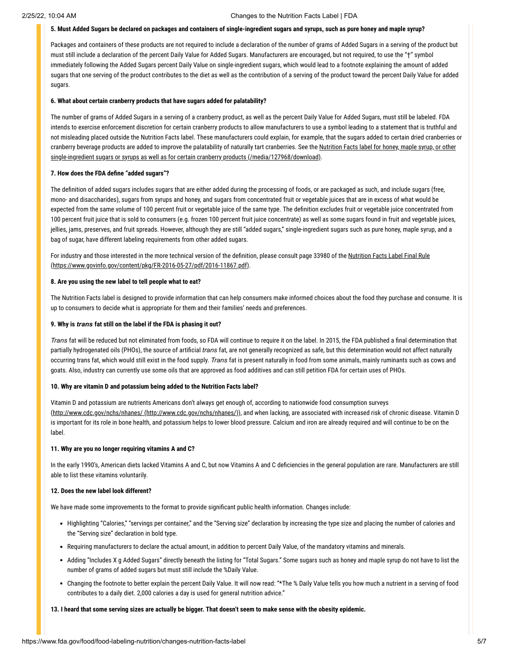#### 2/25/22, 10:04 AM Changes to the Nutrition Facts Label | FDA

#### **5. Must Added Sugars be declared on packages and containers of single-ingredient sugars and syrups, such as pure honey and maple syrup?**

Packages and containers of these products are not required to include a declaration of the number of grams of Added Sugars in a serving of the product but must still include a declaration of the percent Daily Value for Added Sugars. Manufacturers are encouraged, but not required, to use the "†" symbol immediately following the Added Sugars percent Daily Value on single-ingredient sugars, which would lead to a footnote explaining the amount of added sugars that one serving of the product contributes to the diet as well as the contribution of a serving of the product toward the percent Daily Value for added sugars.

#### **6. What about certain cranberry products that have sugars added for palatability?**

The number of grams of Added Sugars in a serving of a cranberry product, as well as the percent Daily Value for Added Sugars, must still be labeled. FDA intends to exercise enforcement discretion for certain cranberry products to allow manufacturers to use a symbol leading to a statement that is truthful and not misleading placed outside the Nutrition Facts label. These manufacturers could explain, for example, that the sugars added to certain dried cranberries or [cranberry beverage products are added to improve the palatability of naturally tart cranberries. See the Nutrition Facts label for honey, maple syrup, or other](https://www.fda.gov/media/127968/download) single-ingredient sugars or syrups as well as for certain cranberry products (/media/127968/download).

#### **7. How does the FDA define "added sugars"?**

The definition of added sugars includes sugars that are either added during the processing of foods, or are packaged as such, and include sugars (free, mono- and disaccharides), sugars from syrups and honey, and sugars from concentrated fruit or vegetable juices that are in excess of what would be expected from the same volume of 100 percent fruit or vegetable juice of the same type. The definition excludes fruit or vegetable juice concentrated from 100 percent fruit juice that is sold to consumers (e.g. frozen 100 percent fruit juice concentrate) as well as some sugars found in fruit and vegetable juices, jellies, jams, preserves, and fruit spreads. However, although they are still "added sugars," single-ingredient sugars such as pure honey, maple syrup, and a bag of sugar, have different labeling requirements from other added sugars.

[For industry and those interested in the more technical version of the definition, please consult page 33980 of the Nutrition Facts Label Final Rule](https://www.govinfo.gov/content/pkg/FR-2016-05-27/pdf/2016-11867.pdf) (https://www.govinfo.gov/content/pkg/FR-2016-05-27/pdf/2016-11867.pdf).

#### **8. Are you using the new label to tell people what to eat?**

The Nutrition Facts label is designed to provide information that can help consumers make informed choices about the food they purchase and consume. It is up to consumers to decide what is appropriate for them and their families' needs and preferences.

#### **9. Why is** *trans* **fat still on the label if the FDA is phasing it out?**

*Trans* fat will be reduced but not eliminated from foods, so FDA will continue to require it on the label. In 2015, the FDA published a final determination that partially hydrogenated oils (PHOs), the source of artificial *trans* fat, are not generally recognized as safe, but this determination would not affect naturally occurring trans fat, which would still exist in the food supply. *Trans* fat is present naturally in food from some animals, mainly ruminants such as cows and goats. Also, industry can currently use some oils that are approved as food additives and can still petition FDA for certain uses of PHOs.

#### **10. Why are vitamin D and potassium being added to the Nutrition Facts label?**

Vitamin D and potassium are nutrients Americans don't always get enough of, according to nationwide food consumption surveys [\(http://www.cdc.gov/nchs/nhanes/ \(http://www.cdc.gov/nchs/nhanes/\)\)](http://www.cdc.gov/nchs/nhanes/), and when lacking, are associated with increased risk of chronic disease. Vitamin D is important for its role in bone health, and potassium helps to lower blood pressure. Calcium and iron are already required and will continue to be on the label.

#### **11. Why are you no longer requiring vitamins A and C?**

In the early 1990's, American diets lacked Vitamins A and C, but now Vitamins A and C deficiencies in the general population are rare. Manufacturers are still able to list these vitamins voluntarily.

#### **12. Does the new label look different?**

We have made some improvements to the format to provide significant public health information. Changes include:

- Highlighting "Calories," "servings per container," and the "Serving size" declaration by increasing the type size and placing the number of calories and the "Serving size" declaration in bold type.
- Requiring manufacturers to declare the actual amount, in addition to percent Daily Value, of the mandatory vitamins and minerals.
- Adding "Includes X g Added Sugars" directly beneath the listing for "Total Sugars." Some sugars such as honey and maple syrup do not have to list the number of grams of added sugars but must still include the %Daily Value.
- Changing the footnote to better explain the percent Daily Value. It will now read: "\*The % Daily Value tells you how much a nutrient in a serving of food contributes to a daily diet. 2,000 calories a day is used for general nutrition advice."
- **13. I heard that some serving sizes are actually be bigger. That doesn't seem to make sense with the obesity epidemic.**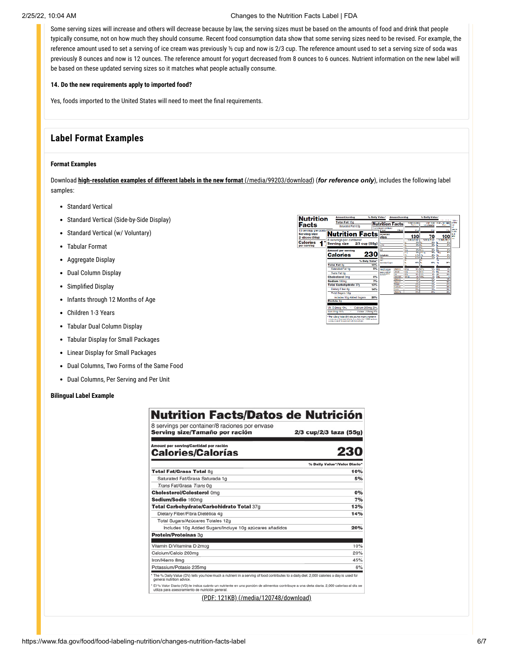#### 2/25/22, 10:04 AM Changes to the Nutrition Facts Label | FDA

Some serving sizes will increase and others will decrease because by law, the serving sizes must be based on the amounts of food and drink that people typically consume, not on how much they should consume. Recent food consumption data show that some serving sizes need to be revised. For example, the reference amount used to set a serving of ice cream was previously ½ cup and now is 2/3 cup. The reference amount used to set a serving size of soda was previously 8 ounces and now is 12 ounces. The reference amount for yogurt decreased from 8 ounces to 6 ounces. Nutrient information on the new label will be based on these updated serving sizes so it matches what people actually consume.

#### **14. Do the new requirements apply to imported food?**

Yes, foods imported to the United States will need to meet the final requirements.

## **Label Format [Examples](#page-5-0)**

#### <span id="page-5-0"></span>**Format Examples**

Download **[high-resolution examples of different labels in the new format](https://www.fda.gov/media/99203/download)** (/media/99203/download) (for reference only), includes the following label samples:

- Standard Vertical
- Standard Vertical (Side-by-Side Display)
- Standard Vertical (w/ Voluntary)
- Tabular Format
- Aggregate Display
- Dual Column Display
- Simplified Display
- Infants through 12 Months of Age
- Children 1-3 Years
- Tabular Dual Column Display
- Tabular Display for Small Packages
- Linear Display for Small Packages
- Dual Columns, Two Forms of the Same Food
- Dual Columns, Per Serving and Per Unit

#### **Bilingual Label Example**

| 8 servings per container/8 raciones por envase<br>Serving size/Tamaño por ración                                                                                                               | 2/3 cup/2/3 taza (55g)       |
|------------------------------------------------------------------------------------------------------------------------------------------------------------------------------------------------|------------------------------|
| Amount per serving/Cantidad por ración<br><b>Calories/Calorías</b>                                                                                                                             | 230                          |
|                                                                                                                                                                                                | % Daily Value*/Valor Diario* |
| Total Fat/Grasa Total 8q                                                                                                                                                                       | 10%                          |
| Saturated Fat/Grasa Saturada 1g                                                                                                                                                                | 5%                           |
| Trans Fat/Grasa Trans 0g                                                                                                                                                                       |                              |
| <b>Cholesterol/Colesterol Omg</b>                                                                                                                                                              | 0%                           |
| Sodium/Sodio 160mg                                                                                                                                                                             | 7%                           |
| Total Carbohydrate/Carbohidrato Total 37g                                                                                                                                                      | 13%                          |
| Dietary Fiber/Fibra Dietética 4g                                                                                                                                                               | 14%                          |
| Total Sugars/Azúcares Totales 12g                                                                                                                                                              |                              |
| Includes 10g Added Sugars/Incluve 10g azúcares añadidos                                                                                                                                        | 20%                          |
| <b>Protein/Proteínas 3g</b>                                                                                                                                                                    |                              |
| Vitamin D/Vitamina D 2mcg                                                                                                                                                                      | 10%                          |
| Calcium/Calcio 260mg                                                                                                                                                                           | 20%                          |
| Iron/Hierro 8mg                                                                                                                                                                                | 45%                          |
| Potassium/Potasio 235mg                                                                                                                                                                        | 6%                           |
| * The % Daily Value (DV) tells you how much a nutrient in a serving of food contributes to a daily diet. 2,000 calories a day is used for<br>general nutrition advice.                         |                              |
| * El % Valor Diario (VD) le indica cuánto un nutriente en una porción de alimentos contribuye a una dieta diaria. 2,000 calorías al día se<br>utiliza para asesoramiento de nutrición general. |                              |

**Nutrition Facts/Datos de Nutrición**